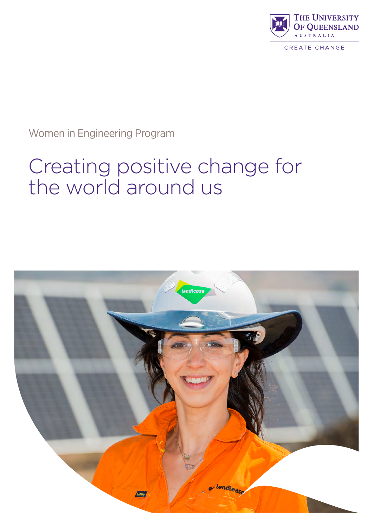

CREATE CHANGE

Women in Engineering Program

# Creating positive change for the world around us